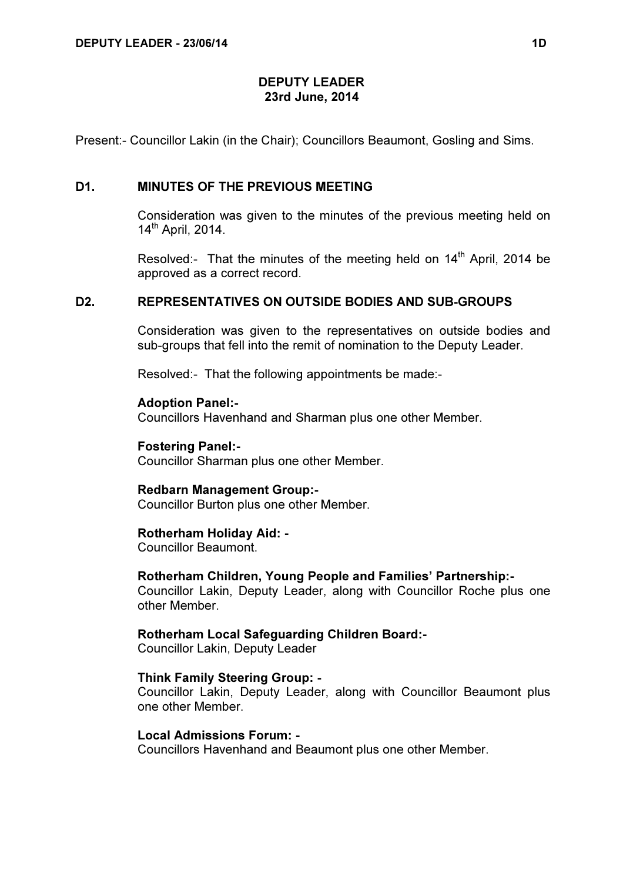### DEPUTY LEADER 23rd June, 2014

Present:- Councillor Lakin (in the Chair); Councillors Beaumont, Gosling and Sims.

## D1. MINUTES OF THE PREVIOUS MEETING

 Consideration was given to the minutes of the previous meeting held on 14th April, 2014.

Resolved:- That the minutes of the meeting held on 14<sup>th</sup> April, 2014 be approved as a correct record.

### D2. REPRESENTATIVES ON OUTSIDE BODIES AND SUB-GROUPS

 Consideration was given to the representatives on outside bodies and sub-groups that fell into the remit of nomination to the Deputy Leader.

Resolved:- That the following appointments be made:-

Adoption Panel:- Councillors Havenhand and Sharman plus one other Member.

Fostering Panel:- Councillor Sharman plus one other Member.

#### Redbarn Management Group:-

Councillor Burton plus one other Member.

### Rotherham Holiday Aid: -

Councillor Beaumont.

#### Rotherham Children, Young People and Families' Partnership:-

Councillor Lakin, Deputy Leader, along with Councillor Roche plus one other Member.

### Rotherham Local Safeguarding Children Board:-

Councillor Lakin, Deputy Leader

#### Think Family Steering Group: -

Councillor Lakin, Deputy Leader, along with Councillor Beaumont plus one other Member.

### Local Admissions Forum: -

Councillors Havenhand and Beaumont plus one other Member.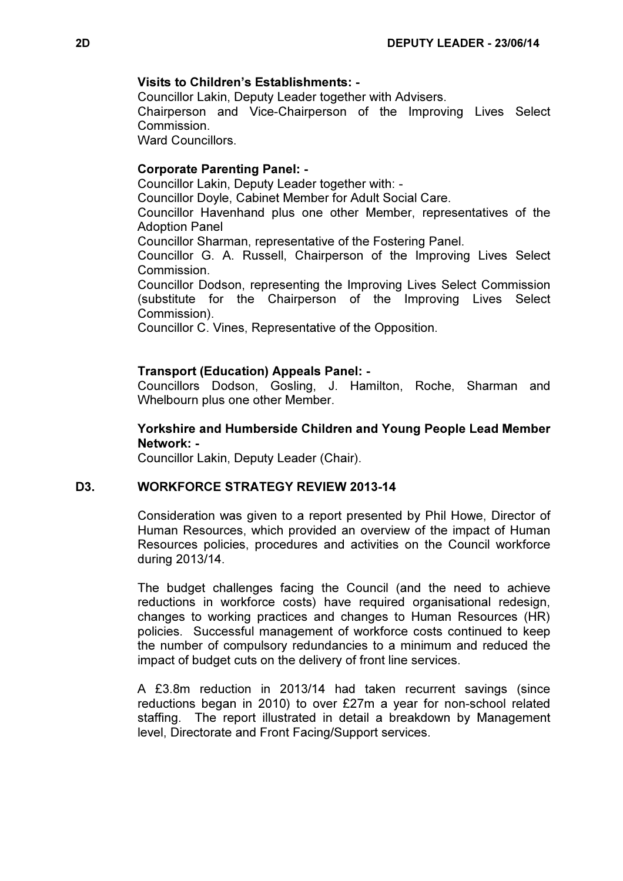### Visits to Children's Establishments: -

Councillor Lakin, Deputy Leader together with Advisers.

Chairperson and Vice-Chairperson of the Improving Lives Select **Commission** 

Ward Councillors.

# Corporate Parenting Panel: -

Councillor Lakin, Deputy Leader together with: -

Councillor Doyle, Cabinet Member for Adult Social Care.

Councillor Havenhand plus one other Member, representatives of the Adoption Panel

Councillor Sharman, representative of the Fostering Panel.

Councillor G. A. Russell, Chairperson of the Improving Lives Select Commission.

Councillor Dodson, representing the Improving Lives Select Commission (substitute for the Chairperson of the Improving Lives Select Commission).

Councillor C. Vines, Representative of the Opposition.

# Transport (Education) Appeals Panel: -

Councillors Dodson, Gosling, J. Hamilton, Roche, Sharman and Whelbourn plus one other Member.

# Yorkshire and Humberside Children and Young People Lead Member Network: -

Councillor Lakin, Deputy Leader (Chair).

## D3. WORKFORCE STRATEGY REVIEW 2013-14

 Consideration was given to a report presented by Phil Howe, Director of Human Resources, which provided an overview of the impact of Human Resources policies, procedures and activities on the Council workforce during 2013/14.

The budget challenges facing the Council (and the need to achieve reductions in workforce costs) have required organisational redesign, changes to working practices and changes to Human Resources (HR) policies. Successful management of workforce costs continued to keep the number of compulsory redundancies to a minimum and reduced the impact of budget cuts on the delivery of front line services.

A £3.8m reduction in 2013/14 had taken recurrent savings (since reductions began in 2010) to over £27m a year for non-school related staffing. The report illustrated in detail a breakdown by Management level, Directorate and Front Facing/Support services.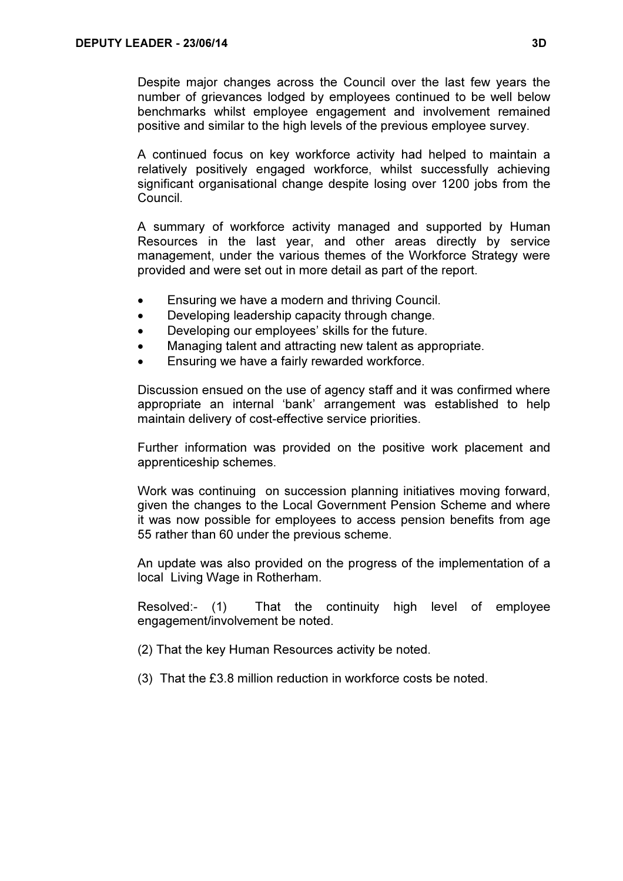Despite major changes across the Council over the last few years the number of grievances lodged by employees continued to be well below benchmarks whilst employee engagement and involvement remained positive and similar to the high levels of the previous employee survey.

A continued focus on key workforce activity had helped to maintain a relatively positively engaged workforce, whilst successfully achieving significant organisational change despite losing over 1200 jobs from the Council.

A summary of workforce activity managed and supported by Human Resources in the last year, and other areas directly by service management, under the various themes of the Workforce Strategy were provided and were set out in more detail as part of the report.

- Ensuring we have a modern and thriving Council.
- Developing leadership capacity through change.
- Developing our employees' skills for the future.
- Managing talent and attracting new talent as appropriate.
- Ensuring we have a fairly rewarded workforce.

Discussion ensued on the use of agency staff and it was confirmed where appropriate an internal 'bank' arrangement was established to help maintain delivery of cost-effective service priorities.

Further information was provided on the positive work placement and apprenticeship schemes.

Work was continuing on succession planning initiatives moving forward, given the changes to the Local Government Pension Scheme and where it was now possible for employees to access pension benefits from age 55 rather than 60 under the previous scheme.

An update was also provided on the progress of the implementation of a local Living Wage in Rotherham.

Resolved:- (1) That the continuity high level of employee engagement/involvement be noted.

(2) That the key Human Resources activity be noted.

(3) That the £3.8 million reduction in workforce costs be noted.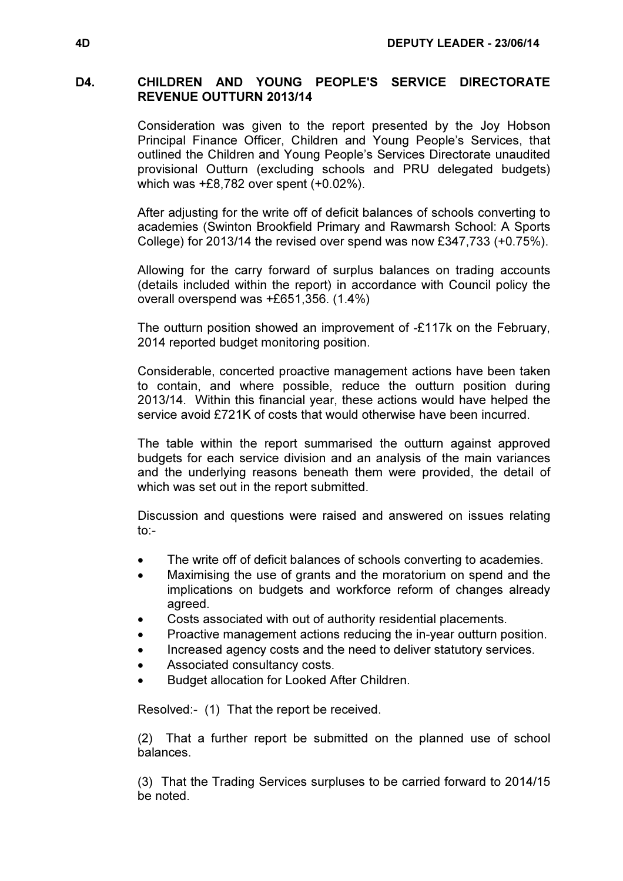# D4. CHILDREN AND YOUNG PEOPLE'S SERVICE DIRECTORATE REVENUE OUTTURN 2013/14

 Consideration was given to the report presented by the Joy Hobson Principal Finance Officer, Children and Young People's Services, that outlined the Children and Young People's Services Directorate unaudited provisional Outturn (excluding schools and PRU delegated budgets) which was +£8,782 over spent (+0.02%).

After adjusting for the write off of deficit balances of schools converting to academies (Swinton Brookfield Primary and Rawmarsh School: A Sports College) for 2013/14 the revised over spend was now £347,733 (+0.75%).

Allowing for the carry forward of surplus balances on trading accounts (details included within the report) in accordance with Council policy the overall overspend was +£651,356. (1.4%)

The outturn position showed an improvement of -£117k on the February, 2014 reported budget monitoring position.

Considerable, concerted proactive management actions have been taken to contain, and where possible, reduce the outturn position during 2013/14. Within this financial year, these actions would have helped the service avoid £721K of costs that would otherwise have been incurred.

The table within the report summarised the outturn against approved budgets for each service division and an analysis of the main variances and the underlying reasons beneath them were provided, the detail of which was set out in the report submitted.

Discussion and questions were raised and answered on issues relating to:-

- The write off of deficit balances of schools converting to academies.
- Maximising the use of grants and the moratorium on spend and the implications on budgets and workforce reform of changes already agreed.
- Costs associated with out of authority residential placements.
- Proactive management actions reducing the in-year outturn position.
- Increased agency costs and the need to deliver statutory services.
- Associated consultancy costs.
- Budget allocation for Looked After Children.

Resolved:- (1) That the report be received.

(2) That a further report be submitted on the planned use of school balances.

(3) That the Trading Services surpluses to be carried forward to 2014/15 be noted.